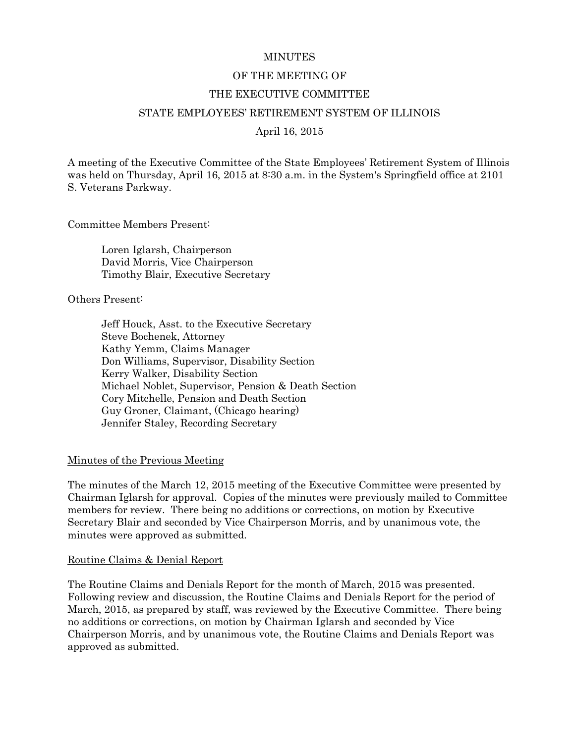#### **MINUTES**

#### OF THE MEETING OF

#### THE EXECUTIVE COMMITTEE

#### STATE EMPLOYEES' RETIREMENT SYSTEM OF ILLINOIS

April 16, 2015

A meeting of the Executive Committee of the State Employees' Retirement System of Illinois was held on Thursday, April 16, 2015 at 8:30 a.m. in the System's Springfield office at 2101 S. Veterans Parkway.

Committee Members Present:

Loren Iglarsh, Chairperson David Morris, Vice Chairperson Timothy Blair, Executive Secretary

Others Present:

Jeff Houck, Asst. to the Executive Secretary Steve Bochenek, Attorney Kathy Yemm, Claims Manager Don Williams, Supervisor, Disability Section Kerry Walker, Disability Section Michael Noblet, Supervisor, Pension & Death Section Cory Mitchelle, Pension and Death Section Guy Groner, Claimant, (Chicago hearing) Jennifer Staley, Recording Secretary

#### Minutes of the Previous Meeting

The minutes of the March 12, 2015 meeting of the Executive Committee were presented by Chairman Iglarsh for approval. Copies of the minutes were previously mailed to Committee members for review. There being no additions or corrections, on motion by Executive Secretary Blair and seconded by Vice Chairperson Morris, and by unanimous vote, the minutes were approved as submitted.

#### Routine Claims & Denial Report

The Routine Claims and Denials Report for the month of March, 2015 was presented. Following review and discussion, the Routine Claims and Denials Report for the period of March, 2015, as prepared by staff, was reviewed by the Executive Committee. There being no additions or corrections, on motion by Chairman Iglarsh and seconded by Vice Chairperson Morris, and by unanimous vote, the Routine Claims and Denials Report was approved as submitted.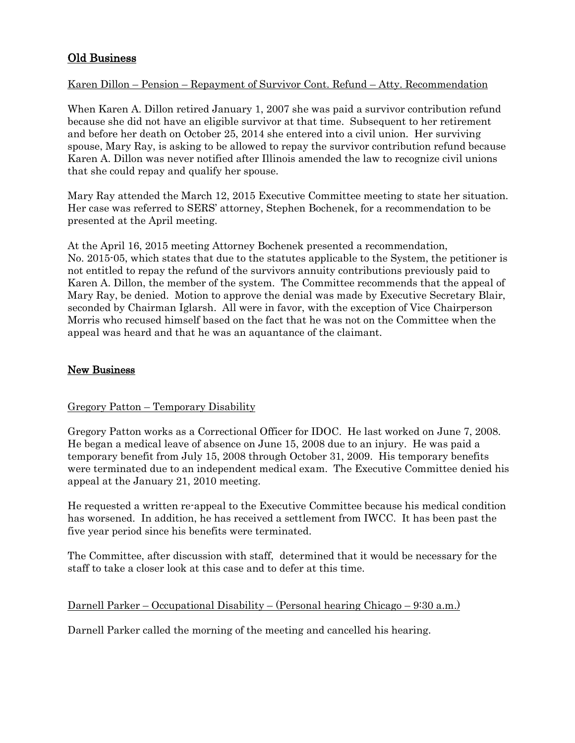# Old Business

# Karen Dillon – Pension – Repayment of Survivor Cont. Refund – Atty. Recommendation

When Karen A. Dillon retired January 1, 2007 she was paid a survivor contribution refund because she did not have an eligible survivor at that time. Subsequent to her retirement and before her death on October 25, 2014 she entered into a civil union. Her surviving spouse, Mary Ray, is asking to be allowed to repay the survivor contribution refund because Karen A. Dillon was never notified after Illinois amended the law to recognize civil unions that she could repay and qualify her spouse.

Mary Ray attended the March 12, 2015 Executive Committee meeting to state her situation. Her case was referred to SERS' attorney, Stephen Bochenek, for a recommendation to be presented at the April meeting.

At the April 16, 2015 meeting Attorney Bochenek presented a recommendation, No. 2015-05, which states that due to the statutes applicable to the System, the petitioner is not entitled to repay the refund of the survivors annuity contributions previously paid to Karen A. Dillon, the member of the system. The Committee recommends that the appeal of Mary Ray, be denied. Motion to approve the denial was made by Executive Secretary Blair, seconded by Chairman Iglarsh. All were in favor, with the exception of Vice Chairperson Morris who recused himself based on the fact that he was not on the Committee when the appeal was heard and that he was an aquantance of the claimant.

# New Business

## Gregory Patton – Temporary Disability

Gregory Patton works as a Correctional Officer for IDOC. He last worked on June 7, 2008. He began a medical leave of absence on June 15, 2008 due to an injury. He was paid a temporary benefit from July 15, 2008 through October 31, 2009. His temporary benefits were terminated due to an independent medical exam. The Executive Committee denied his appeal at the January 21, 2010 meeting.

He requested a written re-appeal to the Executive Committee because his medical condition has worsened. In addition, he has received a settlement from IWCC. It has been past the five year period since his benefits were terminated.

The Committee, after discussion with staff, determined that it would be necessary for the staff to take a closer look at this case and to defer at this time.

## Darnell Parker – Occupational Disability – (Personal hearing Chicago – 9:30 a.m.)

Darnell Parker called the morning of the meeting and cancelled his hearing.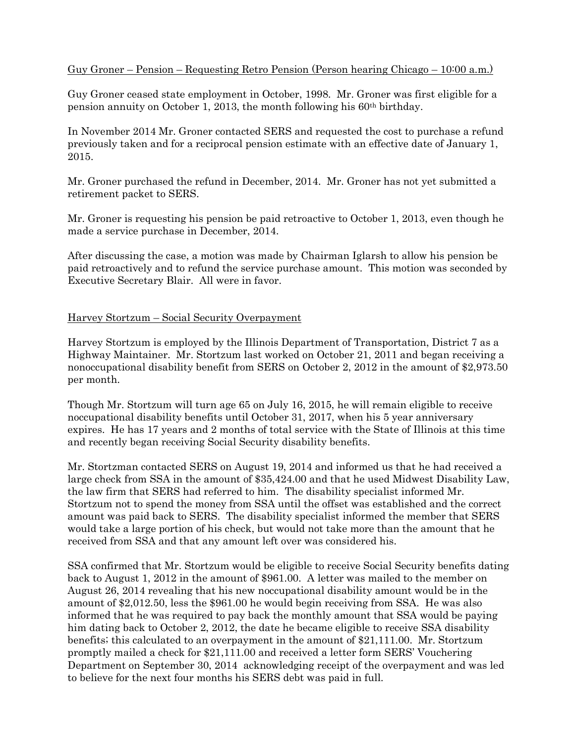# Guy Groner – Pension – Requesting Retro Pension (Person hearing Chicago – 10:00 a.m.)

Guy Groner ceased state employment in October, 1998. Mr. Groner was first eligible for a pension annuity on October 1, 2013, the month following his  $60<sup>th</sup>$  birthday.

In November 2014 Mr. Groner contacted SERS and requested the cost to purchase a refund previously taken and for a reciprocal pension estimate with an effective date of January 1, 2015.

Mr. Groner purchased the refund in December, 2014. Mr. Groner has not yet submitted a retirement packet to SERS.

Mr. Groner is requesting his pension be paid retroactive to October 1, 2013, even though he made a service purchase in December, 2014.

After discussing the case, a motion was made by Chairman Iglarsh to allow his pension be paid retroactively and to refund the service purchase amount. This motion was seconded by Executive Secretary Blair. All were in favor.

#### Harvey Stortzum – Social Security Overpayment

Harvey Stortzum is employed by the Illinois Department of Transportation, District 7 as a Highway Maintainer. Mr. Stortzum last worked on October 21, 2011 and began receiving a nonoccupational disability benefit from SERS on October 2, 2012 in the amount of \$2,973.50 per month.

Though Mr. Stortzum will turn age 65 on July 16, 2015, he will remain eligible to receive noccupational disability benefits until October 31, 2017, when his 5 year anniversary expires. He has 17 years and 2 months of total service with the State of Illinois at this time and recently began receiving Social Security disability benefits.

Mr. Stortzman contacted SERS on August 19, 2014 and informed us that he had received a large check from SSA in the amount of \$35,424.00 and that he used Midwest Disability Law, the law firm that SERS had referred to him. The disability specialist informed Mr. Stortzum not to spend the money from SSA until the offset was established and the correct amount was paid back to SERS. The disability specialist informed the member that SERS would take a large portion of his check, but would not take more than the amount that he received from SSA and that any amount left over was considered his.

SSA confirmed that Mr. Stortzum would be eligible to receive Social Security benefits dating back to August 1, 2012 in the amount of \$961.00. A letter was mailed to the member on August 26, 2014 revealing that his new noccupational disability amount would be in the amount of \$2,012.50, less the \$961.00 he would begin receiving from SSA. He was also informed that he was required to pay back the monthly amount that SSA would be paying him dating back to October 2, 2012, the date he became eligible to receive SSA disability benefits; this calculated to an overpayment in the amount of \$21,111.00. Mr. Stortzum promptly mailed a check for \$21,111.00 and received a letter form SERS' Vouchering Department on September 30, 2014 acknowledging receipt of the overpayment and was led to believe for the next four months his SERS debt was paid in full.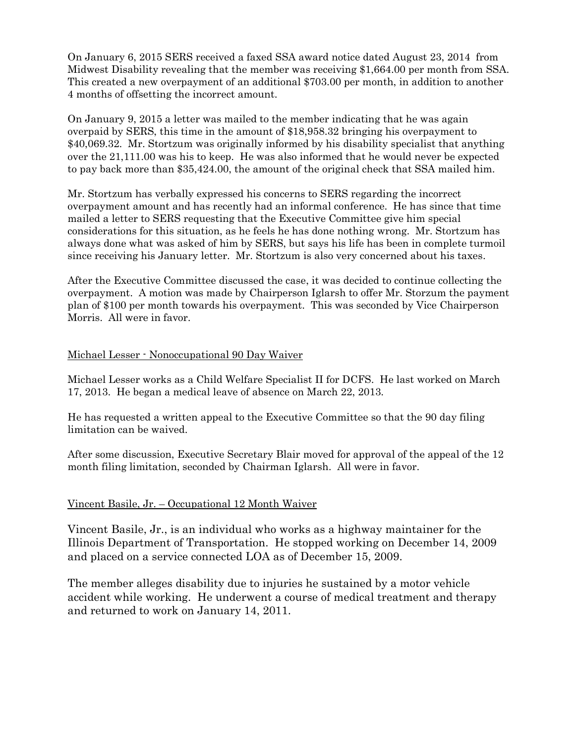On January 6, 2015 SERS received a faxed SSA award notice dated August 23, 2014 from Midwest Disability revealing that the member was receiving \$1,664.00 per month from SSA. This created a new overpayment of an additional \$703.00 per month, in addition to another 4 months of offsetting the incorrect amount.

On January 9, 2015 a letter was mailed to the member indicating that he was again overpaid by SERS, this time in the amount of \$18,958.32 bringing his overpayment to \$40,069.32. Mr. Stortzum was originally informed by his disability specialist that anything over the 21,111.00 was his to keep. He was also informed that he would never be expected to pay back more than \$35,424.00, the amount of the original check that SSA mailed him.

Mr. Stortzum has verbally expressed his concerns to SERS regarding the incorrect overpayment amount and has recently had an informal conference. He has since that time mailed a letter to SERS requesting that the Executive Committee give him special considerations for this situation, as he feels he has done nothing wrong. Mr. Stortzum has always done what was asked of him by SERS, but says his life has been in complete turmoil since receiving his January letter. Mr. Stortzum is also very concerned about his taxes.

After the Executive Committee discussed the case, it was decided to continue collecting the overpayment. A motion was made by Chairperson Iglarsh to offer Mr. Storzum the payment plan of \$100 per month towards his overpayment. This was seconded by Vice Chairperson Morris. All were in favor.

## Michael Lesser - Nonoccupational 90 Day Waiver

Michael Lesser works as a Child Welfare Specialist II for DCFS. He last worked on March 17, 2013. He began a medical leave of absence on March 22, 2013.

He has requested a written appeal to the Executive Committee so that the 90 day filing limitation can be waived.

After some discussion, Executive Secretary Blair moved for approval of the appeal of the 12 month filing limitation, seconded by Chairman Iglarsh. All were in favor.

## Vincent Basile, Jr. – Occupational 12 Month Waiver

Vincent Basile, Jr., is an individual who works as a highway maintainer for the Illinois Department of Transportation. He stopped working on December 14, 2009 and placed on a service connected LOA as of December 15, 2009.

The member alleges disability due to injuries he sustained by a motor vehicle accident while working. He underwent a course of medical treatment and therapy and returned to work on January 14, 2011.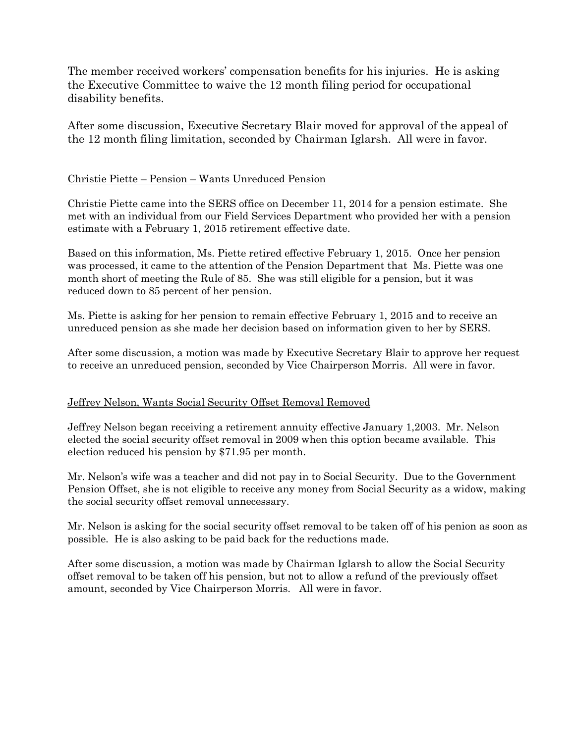The member received workers' compensation benefits for his injuries. He is asking the Executive Committee to waive the 12 month filing period for occupational disability benefits.

After some discussion, Executive Secretary Blair moved for approval of the appeal of the 12 month filing limitation, seconded by Chairman Iglarsh. All were in favor.

# Christie Piette – Pension – Wants Unreduced Pension

Christie Piette came into the SERS office on December 11, 2014 for a pension estimate. She met with an individual from our Field Services Department who provided her with a pension estimate with a February 1, 2015 retirement effective date.

Based on this information, Ms. Piette retired effective February 1, 2015. Once her pension was processed, it came to the attention of the Pension Department that Ms. Piette was one month short of meeting the Rule of 85. She was still eligible for a pension, but it was reduced down to 85 percent of her pension.

Ms. Piette is asking for her pension to remain effective February 1, 2015 and to receive an unreduced pension as she made her decision based on information given to her by SERS.

After some discussion, a motion was made by Executive Secretary Blair to approve her request to receive an unreduced pension, seconded by Vice Chairperson Morris. All were in favor.

## Jeffrey Nelson, Wants Social Security Offset Removal Removed

Jeffrey Nelson began receiving a retirement annuity effective January 1,2003. Mr. Nelson elected the social security offset removal in 2009 when this option became available. This election reduced his pension by \$71.95 per month.

Mr. Nelson's wife was a teacher and did not pay in to Social Security. Due to the Government Pension Offset, she is not eligible to receive any money from Social Security as a widow, making the social security offset removal unnecessary.

Mr. Nelson is asking for the social security offset removal to be taken off of his penion as soon as possible. He is also asking to be paid back for the reductions made.

After some discussion, a motion was made by Chairman Iglarsh to allow the Social Security offset removal to be taken off his pension, but not to allow a refund of the previously offset amount, seconded by Vice Chairperson Morris. All were in favor.